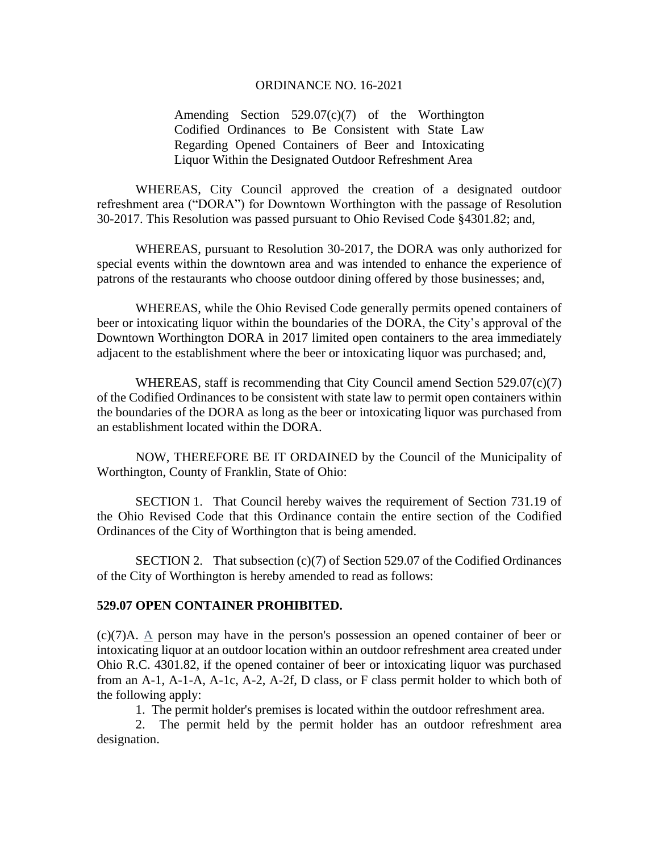## ORDINANCE NO. 16-2021

Amending Section 529.07(c)(7) of the Worthington Codified Ordinances to Be Consistent with State Law Regarding Opened Containers of Beer and Intoxicating Liquor Within the Designated Outdoor Refreshment Area

WHEREAS, City Council approved the creation of a designated outdoor refreshment area ("DORA") for Downtown Worthington with the passage of Resolution 30-2017. This Resolution was passed pursuant to Ohio Revised Code §4301.82; and,

WHEREAS, pursuant to Resolution 30-2017, the DORA was only authorized for special events within the downtown area and was intended to enhance the experience of patrons of the restaurants who choose outdoor dining offered by those businesses; and,

WHEREAS, while the Ohio Revised Code generally permits opened containers of beer or intoxicating liquor within the boundaries of the DORA, the City's approval of the Downtown Worthington DORA in 2017 limited open containers to the area immediately adjacent to the establishment where the beer or intoxicating liquor was purchased; and,

WHEREAS, staff is recommending that City Council amend Section  $529.07(c)(7)$ of the Codified Ordinances to be consistent with state law to permit open containers within the boundaries of the DORA as long as the beer or intoxicating liquor was purchased from an establishment located within the DORA.

NOW, THEREFORE BE IT ORDAINED by the Council of the Municipality of Worthington, County of Franklin, State of Ohio:

SECTION 1. That Council hereby waives the requirement of Section 731.19 of the Ohio Revised Code that this Ordinance contain the entire section of the Codified Ordinances of the City of Worthington that is being amended.

SECTION 2. That subsection (c)(7) of Section 529.07 of the Codified Ordinances of the City of Worthington is hereby amended to read as follows:

## **529.07 OPEN CONTAINER PROHIBITED.**

(c)(7)A. A person may have in the person's possession an opened container of beer or intoxicating liquor at an outdoor location within an outdoor refreshment area created under Ohio R.C. 4301.82, if the opened container of beer or intoxicating liquor was purchased from an A-1, A-1-A, A-1c, A-2, A-2f, D class, or F class permit holder to which both of the following apply:

1. The permit holder's premises is located within the outdoor refreshment area.

2. The permit held by the permit holder has an outdoor refreshment area designation.